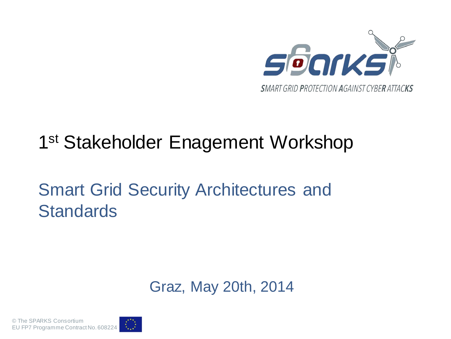

#### 1<sup>st</sup> Stakeholder Enagement Workshop

#### Smart Grid Security Architectures and **Standards**

Graz, May 20th, 2014

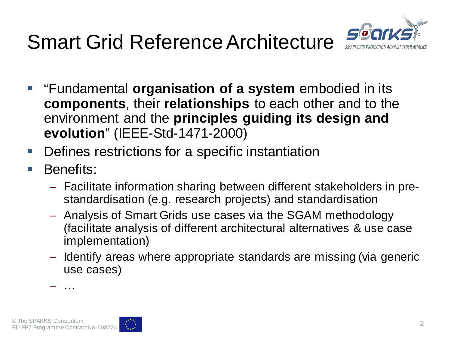# Smart Grid Reference Architecture



- **E** "Fundamental **organisation of a system** embodied in its **components**, their **relationships** to each other and to the environment and the **principles guiding its design and evolution**" (IEEE-Std-1471-2000)
- **Defines restrictions for a specific instantiation**
- **Benefits:** 
	- Facilitate information sharing between different stakeholders in prestandardisation (e.g. research projects) and standardisation
	- Analysis of Smart Grids use cases via the SGAM methodology (facilitate analysis of different architectural alternatives & use case implementation)
	- Identify areas where appropriate standards are missing (via generic use cases)

– …

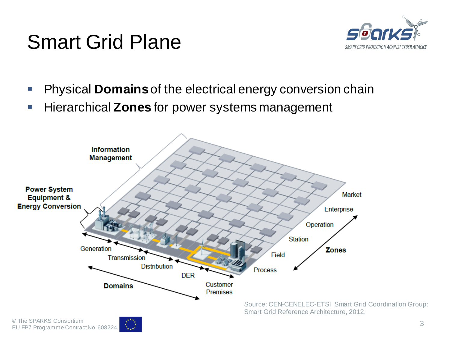### Smart Grid Plane



- **Physical Domains** of the electrical energy conversion chain
- **Hierarchical Zones for power systems management**

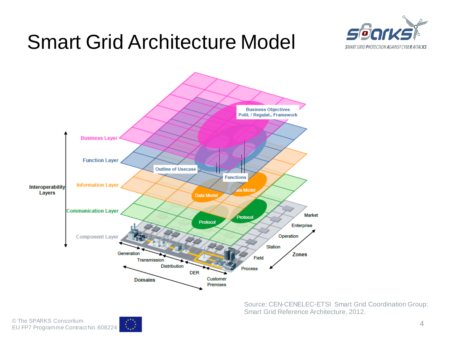### Smart Grid Architecture Model





Source: CEN-CENELEC-ETSI Smart Grid Coordination Group: Smart Grid Reference Architecture, 2012.

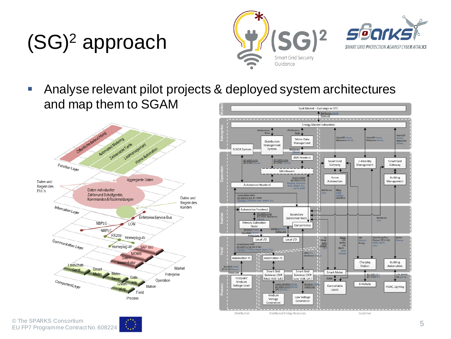# (SG)2 approach





 Analyse relevant pilot projects & deployed system architectures and map them to SGAMSpot Market - Exchange or OTC



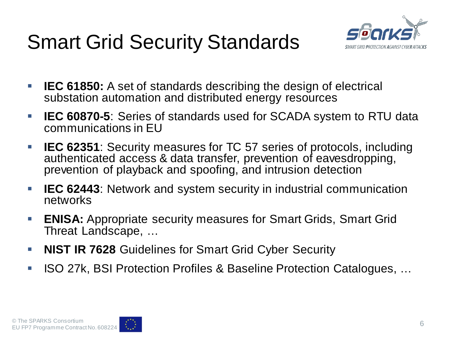## Smart Grid Security Standards



- **IEC 61850:** A set of standards describing the design of electrical substation automation and distributed energy resources
- **IEC 60870-5**: Series of standards used for SCADA system to RTU data communications in EU
- **IEC 62351**: Security measures for TC 57 series of protocols, including authenticated access & data transfer, prevention of eavesdropping, prevention of playback and spoofing, and intrusion detection
- **IEC 62443**: Network and system security in industrial communication networks
- **ENISA:** Appropriate security measures for Smart Grids, Smart Grid Threat Landscape, …
- **NIST IR 7628** Guidelines for Smart Grid Cyber Security
- ISO 27k, BSI Protection Profiles & Baseline Protection Catalogues, ...

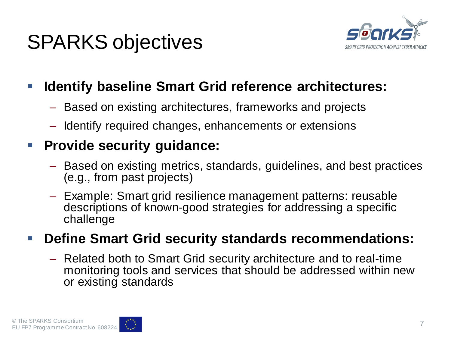### SPARKS objectives



#### **IDENTIFY BASEL SMART Grid reference architectures:**

- Based on existing architectures, frameworks and projects
- Identify required changes, enhancements or extensions

#### **Provide security guidance:**

- Based on existing metrics, standards, guidelines, and best practices (e.g., from past projects)
- Example: Smart grid resilience management patterns: reusable descriptions of known-good strategies for addressing a specific challenge

#### **Define Smart Grid security standards recommendations:**

– Related both to Smart Grid security architecture and to real-time monitoring tools and services that should be addressed within new or existing standards